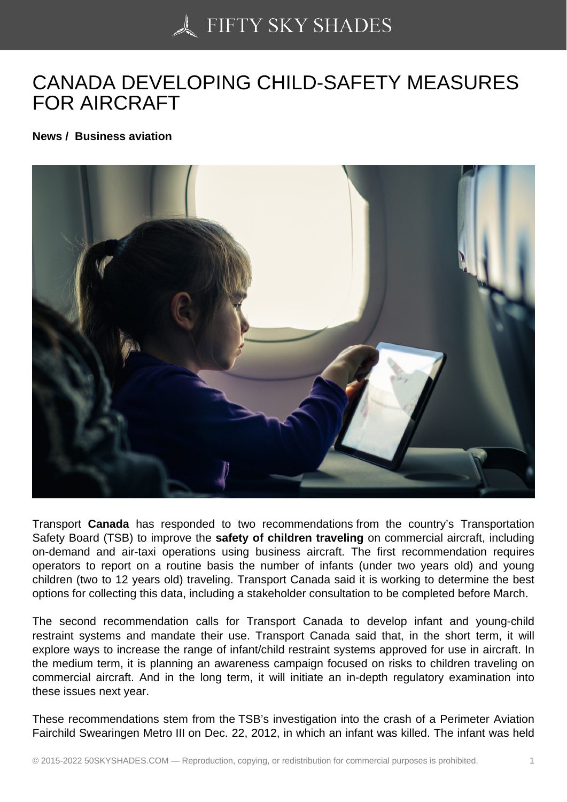## [CANADA DEVELOPIN](https://50skyshades.com)G CHILD-SAFETY MEASURES FOR AIRCRAFT

News / Business aviation

Transport Canada has responded to two recommendations from the country's Transportation Safety Board (TSB) to improve the safety of children traveling on commercial aircraft, including on-demand and air-taxi operations using business aircraft. The first recommendation requires operators to report on a routine basis the number of infants (under two years old) and young children (two to 12 years old) traveling. Transport Canada said it is working to determine the best options for collecting this data, including a stakeholder consultation to be completed before March.

The second recommendation calls for Transport Canada to develop infant and young-child restraint systems and mandate their use. Transport Canada said that, in the short term, it will explore ways to increase the range of infant/child restraint systems approved for use in aircraft. In the medium term, it is planning an awareness campaign focused on risks to children traveling on commercial aircraft. And in the long term, it will initiate an in-depth regulatory examination into these issues next year.

These recommendations stem from the TSB's investigation into the crash of a Perimeter Aviation Fairchild Swearingen Metro III on Dec. 22, 2012, in which an infant was killed. The infant was held